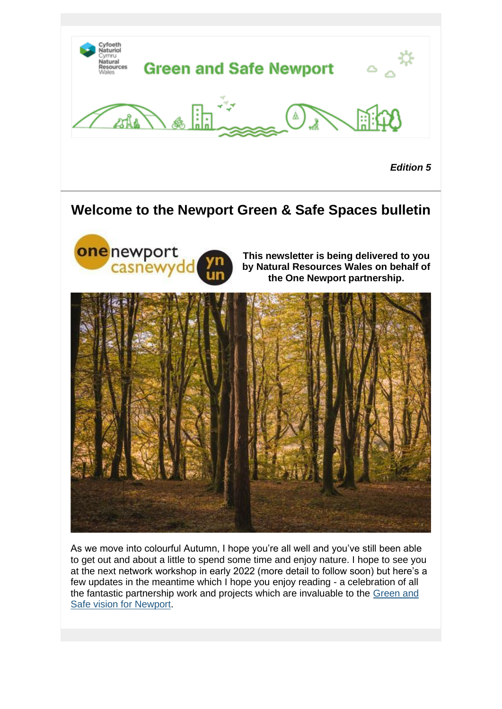

*Edition 5*

### **Welcome to the Newport Green & Safe Spaces bulletin**



As we move into colourful Autumn, I hope you're all well and you've still been able to get out and about a little to spend some time and enjoy nature. I hope to see you at the next network workshop in early 2022 (more detail to follow soon) but here's a few updates in the meantime which I hope you enjoy reading - a celebration of all the fantastic partnership work and projects which are invaluable to the [Green and](https://lnks.gd/l/eyJhbGciOiJIUzI1NiJ9.eyJidWxsZXRpbl9saW5rX2lkIjoxMDAsInVyaSI6ImJwMjpjbGljayIsImJ1bGxldGluX2lkIjoiMjAyMTExMTUuNDg4NzE3ODEiLCJ1cmwiOiJodHRwczovL3d3dy5uZXdwb3J0Lmdvdi51ay9vbmVOZXdwb3J0L1dlbGwtYmVpbmctUGxhbi9HcmVlbi1hbmQtc2FmZS1zcGFjZXMuYXNweD91dG1fbWVkaXVtPWVtYWlsJnV0bV9zb3VyY2U9Z292ZGVsaXZlcnkifQ.lUTgKq0aQeSv7kOEWfnbW2ldPTmHf6_WqqdLUcJAsxg/s/1365653461/br/120984871246-l)  [Safe vision for Newport.](https://lnks.gd/l/eyJhbGciOiJIUzI1NiJ9.eyJidWxsZXRpbl9saW5rX2lkIjoxMDAsInVyaSI6ImJwMjpjbGljayIsImJ1bGxldGluX2lkIjoiMjAyMTExMTUuNDg4NzE3ODEiLCJ1cmwiOiJodHRwczovL3d3dy5uZXdwb3J0Lmdvdi51ay9vbmVOZXdwb3J0L1dlbGwtYmVpbmctUGxhbi9HcmVlbi1hbmQtc2FmZS1zcGFjZXMuYXNweD91dG1fbWVkaXVtPWVtYWlsJnV0bV9zb3VyY2U9Z292ZGVsaXZlcnkifQ.lUTgKq0aQeSv7kOEWfnbW2ldPTmHf6_WqqdLUcJAsxg/s/1365653461/br/120984871246-l)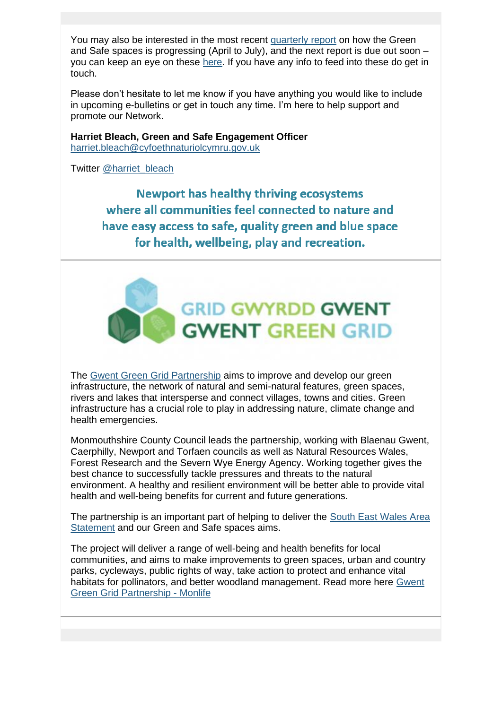You may also be interested in the most recent [quarterly report](https://lnks.gd/l/eyJhbGciOiJIUzI1NiJ9.eyJidWxsZXRpbl9saW5rX2lkIjoxMDEsInVyaSI6ImJwMjpjbGljayIsImJ1bGxldGluX2lkIjoiMjAyMTExMTUuNDg4NzE3ODEiLCJ1cmwiOiJodHRwczovL3d3dy5uZXdwb3J0Lmdvdi51ay9kb2N1bWVudHMvT25lLU5ld3BvcnQvUGVyZm9ybWFuY2UvV2ItUGxhbi1HcmVlbi1hbmQtU2FmZS1TcGFjZXMtSW50ZXJ2ZW50aW9uLURhc2hib2FyZC1RMS0yMDIxLTIyLUVOLnBkZj91dG1fbWVkaXVtPWVtYWlsJnV0bV9zb3VyY2U9Z292ZGVsaXZlcnkifQ.nOmD7MpE0t_bZTVM79tqlI1oVsGcYZojigwVaw6HExI/s/1365653461/br/120984871246-l) on how the Green and Safe spaces is progressing (April to July), and the next report is due out soon – you can keep an eye on these [here.](https://lnks.gd/l/eyJhbGciOiJIUzI1NiJ9.eyJidWxsZXRpbl9saW5rX2lkIjoxMDIsInVyaSI6ImJwMjpjbGljayIsImJ1bGxldGluX2lkIjoiMjAyMTExMTUuNDg4NzE3ODEiLCJ1cmwiOiJodHRwczovL3d3dy5uZXdwb3J0Lmdvdi51ay9vbmVOZXdwb3J0L1dlbGwtYmVpbmctUGxhbi9QZXJmb3JtYW5jZS1yZXBvcnRpbmcuYXNweD91dG1fbWVkaXVtPWVtYWlsJnV0bV9zb3VyY2U9Z292ZGVsaXZlcnkifQ.ZAdcJMJhga0J_nutTsOTc8hsyZLZGnHYESZA7OnZAVw/s/1365653461/br/120984871246-l) If you have any info to feed into these do get in touch.

Please don't hesitate to let me know if you have anything you would like to include in upcoming e-bulletins or get in touch any time. I'm here to help support and promote our Network.

**Harriet Bleach, Green and Safe Engagement Officer** [harriet.bleach@cyfoethnaturiolcymru.gov.uk](mailto:harriet.bleach@cyfoethnaturiolcymru.gov.uk)

Twitter [@harriet\\_bleach](https://lnks.gd/l/eyJhbGciOiJIUzI1NiJ9.eyJidWxsZXRpbl9saW5rX2lkIjoxMDMsInVyaSI6ImJwMjpjbGljayIsImJ1bGxldGluX2lkIjoiMjAyMTExMTUuNDg4NzE3ODEiLCJ1cmwiOiJodHRwczovL3R3aXR0ZXIuY29tL2hhcnJpZXRfYmxlYWNoP3V0bV9tZWRpdW09ZW1haWwmdXRtX3NvdXJjZT1nb3ZkZWxpdmVyeSJ9.7NimfoGdEi9MHPfVLc12kxr6jQRTKXhIyxsqHlgynBc/s/1365653461/br/120984871246-l)

**Newport has healthy thriving ecosystems** where all communities feel connected to nature and have easy access to safe, quality green and blue space for health, wellbeing, play and recreation.



The [Gwent Green Grid Partnership](https://lnks.gd/l/eyJhbGciOiJIUzI1NiJ9.eyJidWxsZXRpbl9saW5rX2lkIjoxMDQsInVyaSI6ImJwMjpjbGljayIsImJ1bGxldGluX2lkIjoiMjAyMTExMTUuNDg4NzE3ODEiLCJ1cmwiOiJodHRwczovL3R3aXR0ZXIuY29tL0d3ZW50R3JlZW5HcmlkP3V0bV9tZWRpdW09ZW1haWwmdXRtX3NvdXJjZT1nb3ZkZWxpdmVyeSJ9.aob8TdtjgiBS_yRD8mUIkMFH8-m8OlHmx2joOCeWM_0/s/1365653461/br/120984871246-l) aims to improve and develop our green infrastructure, the network of natural and semi-natural features, green spaces, rivers and lakes that intersperse and connect villages, towns and cities. Green infrastructure has a crucial role to play in addressing nature, climate change and health emergencies.

Monmouthshire County Council leads the partnership, working with Blaenau Gwent, Caerphilly, Newport and Torfaen councils as well as Natural Resources Wales, Forest Research and the Severn Wye Energy Agency. Working together gives the best chance to successfully tackle pressures and threats to the natural environment. A healthy and resilient environment will be better able to provide vital health and well-being benefits for current and future generations.

The partnership is an important part of helping to deliver the [South East Wales Area](https://lnks.gd/l/eyJhbGciOiJIUzI1NiJ9.eyJidWxsZXRpbl9saW5rX2lkIjoxMDUsInVyaSI6ImJwMjpjbGljayIsImJ1bGxldGluX2lkIjoiMjAyMTExMTUuNDg4NzE3ODEiLCJ1cmwiOiJodHRwczovL25hdHVyYWxyZXNvdXJjZXMud2FsZXMvYWJvdXQtdXMvYXJlYS1zdGF0ZW1lbnRzL3NvdXRoLWVhc3Qtd2FsZXMtYXJlYS1zdGF0ZW1lbnQvP2xhbmc9ZW4mdXRtX21lZGl1bT1lbWFpbCZ1dG1fc291cmNlPWdvdmRlbGl2ZXJ5In0.kwBr5PrKnRnZcG7i6bl046qA1oOv9rG-0i88jOsaubY/s/1365653461/br/120984871246-l)  [Statement](https://lnks.gd/l/eyJhbGciOiJIUzI1NiJ9.eyJidWxsZXRpbl9saW5rX2lkIjoxMDUsInVyaSI6ImJwMjpjbGljayIsImJ1bGxldGluX2lkIjoiMjAyMTExMTUuNDg4NzE3ODEiLCJ1cmwiOiJodHRwczovL25hdHVyYWxyZXNvdXJjZXMud2FsZXMvYWJvdXQtdXMvYXJlYS1zdGF0ZW1lbnRzL3NvdXRoLWVhc3Qtd2FsZXMtYXJlYS1zdGF0ZW1lbnQvP2xhbmc9ZW4mdXRtX21lZGl1bT1lbWFpbCZ1dG1fc291cmNlPWdvdmRlbGl2ZXJ5In0.kwBr5PrKnRnZcG7i6bl046qA1oOv9rG-0i88jOsaubY/s/1365653461/br/120984871246-l) and our Green and Safe spaces aims.

The project will deliver a range of well-being and health benefits for local communities, and aims to make improvements to green spaces, urban and country parks, cycleways, public rights of way, take action to protect and enhance vital habitats for pollinators, and better woodland management. Read more here [Gwent](https://lnks.gd/l/eyJhbGciOiJIUzI1NiJ9.eyJidWxsZXRpbl9saW5rX2lkIjoxMDYsInVyaSI6ImJwMjpjbGljayIsImJ1bGxldGluX2lkIjoiMjAyMTExMTUuNDg4NzE3ODEiLCJ1cmwiOiJodHRwczovL3d3dy5tb25saWZlLmNvLnVrL291dGRvb3IvZ3JlZW4taW5mcmFzdHJ1Y3R1cmUvZ3JlZW4taW5mcmFzdHJ1Y3R1cmUtcGFydG5lcnNoaXBzLXByb2plY3RzL2d3ZW50LWdyZWVuLWdyaWQtcGFydG5lcnNoaXAvP3V0bV9tZWRpdW09ZW1haWwmdXRtX3NvdXJjZT1nb3ZkZWxpdmVyeSJ9.Ncz-pxJm2bLNN6VfywJR_bWUI89gO3Q1IEPgeEnk37M/s/1365653461/br/120984871246-l)  [Green Grid Partnership -](https://lnks.gd/l/eyJhbGciOiJIUzI1NiJ9.eyJidWxsZXRpbl9saW5rX2lkIjoxMDYsInVyaSI6ImJwMjpjbGljayIsImJ1bGxldGluX2lkIjoiMjAyMTExMTUuNDg4NzE3ODEiLCJ1cmwiOiJodHRwczovL3d3dy5tb25saWZlLmNvLnVrL291dGRvb3IvZ3JlZW4taW5mcmFzdHJ1Y3R1cmUvZ3JlZW4taW5mcmFzdHJ1Y3R1cmUtcGFydG5lcnNoaXBzLXByb2plY3RzL2d3ZW50LWdyZWVuLWdyaWQtcGFydG5lcnNoaXAvP3V0bV9tZWRpdW09ZW1haWwmdXRtX3NvdXJjZT1nb3ZkZWxpdmVyeSJ9.Ncz-pxJm2bLNN6VfywJR_bWUI89gO3Q1IEPgeEnk37M/s/1365653461/br/120984871246-l) Monlife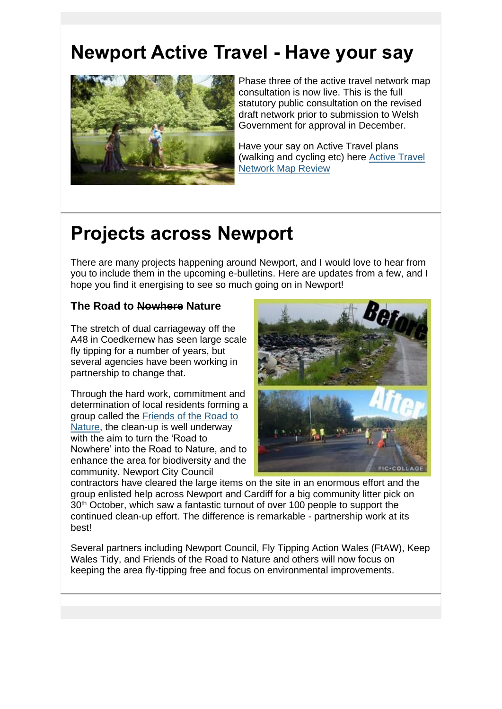# **Newport Active Travel - Have your say**



Phase three of the active travel network map consultation is now live. This is the full statutory public consultation on the revised draft network prior to submission to Welsh Government for approval in December.

Have your say on Active Travel plans (walking and cycling etc) here [Active Travel](https://lnks.gd/l/eyJhbGciOiJIUzI1NiJ9.eyJidWxsZXRpbl9saW5rX2lkIjoxMDcsInVyaSI6ImJwMjpjbGljayIsImJ1bGxldGluX2lkIjoiMjAyMTExMTUuNDg4NzE3ODEiLCJ1cmwiOiJodHRwczovL25ld3BvcnQzLmNvbW1vbnBsYWNlLmlzLz91dG1fbWVkaXVtPWVtYWlsJnV0bV9zb3VyY2U9Z292ZGVsaXZlcnkifQ._9ftUpkelYOZKc5lqtVjOw4kIDRXsqTUEpkPhXhtt40/s/1365653461/br/120984871246-l)  [Network Map Review](https://lnks.gd/l/eyJhbGciOiJIUzI1NiJ9.eyJidWxsZXRpbl9saW5rX2lkIjoxMDcsInVyaSI6ImJwMjpjbGljayIsImJ1bGxldGluX2lkIjoiMjAyMTExMTUuNDg4NzE3ODEiLCJ1cmwiOiJodHRwczovL25ld3BvcnQzLmNvbW1vbnBsYWNlLmlzLz91dG1fbWVkaXVtPWVtYWlsJnV0bV9zb3VyY2U9Z292ZGVsaXZlcnkifQ._9ftUpkelYOZKc5lqtVjOw4kIDRXsqTUEpkPhXhtt40/s/1365653461/br/120984871246-l)

# **Projects across Newport**

There are many projects happening around Newport, and I would love to hear from you to include them in the upcoming e-bulletins. Here are updates from a few, and I hope you find it energising to see so much going on in Newport!

#### **The Road to Nowhere Nature**

The stretch of dual carriageway off the A48 in Coedkernew has seen large scale fly tipping for a number of years, but several agencies have been working in partnership to change that.

Through the hard work, commitment and determination of local residents forming a group called the [Friends of the Road to](https://lnks.gd/l/eyJhbGciOiJIUzI1NiJ9.eyJidWxsZXRpbl9saW5rX2lkIjoxMDgsInVyaSI6ImJwMjpjbGljayIsImJ1bGxldGluX2lkIjoiMjAyMTExMTUuNDg4NzE3ODEiLCJ1cmwiOiJodHRwczovL3R3aXR0ZXIuY29tLzFSb2FkVG9OYXR1cmU_dXRtX21lZGl1bT1lbWFpbCZ1dG1fc291cmNlPWdvdmRlbGl2ZXJ5In0.YGe_TsKtngbU--NMOmn-ZZv53roeMs_sTwLpe5GxwlI/s/1365653461/br/120984871246-l)  [Nature,](https://lnks.gd/l/eyJhbGciOiJIUzI1NiJ9.eyJidWxsZXRpbl9saW5rX2lkIjoxMDgsInVyaSI6ImJwMjpjbGljayIsImJ1bGxldGluX2lkIjoiMjAyMTExMTUuNDg4NzE3ODEiLCJ1cmwiOiJodHRwczovL3R3aXR0ZXIuY29tLzFSb2FkVG9OYXR1cmU_dXRtX21lZGl1bT1lbWFpbCZ1dG1fc291cmNlPWdvdmRlbGl2ZXJ5In0.YGe_TsKtngbU--NMOmn-ZZv53roeMs_sTwLpe5GxwlI/s/1365653461/br/120984871246-l) the clean-up is well underway with the aim to turn the 'Road to Nowhere' into the Road to Nature, and to enhance the area for biodiversity and the community. Newport City Council



contractors have cleared the large items on the site in an enormous effort and the group enlisted help across Newport and Cardiff for a big community litter pick on 30<sup>th</sup> October, which saw a fantastic turnout of over 100 people to support the continued clean-up effort. The difference is remarkable - partnership work at its best!

Several partners including Newport Council, Fly Tipping Action Wales (FtAW), Keep Wales Tidy, and Friends of the Road to Nature and others will now focus on keeping the area fly-tipping free and focus on environmental improvements.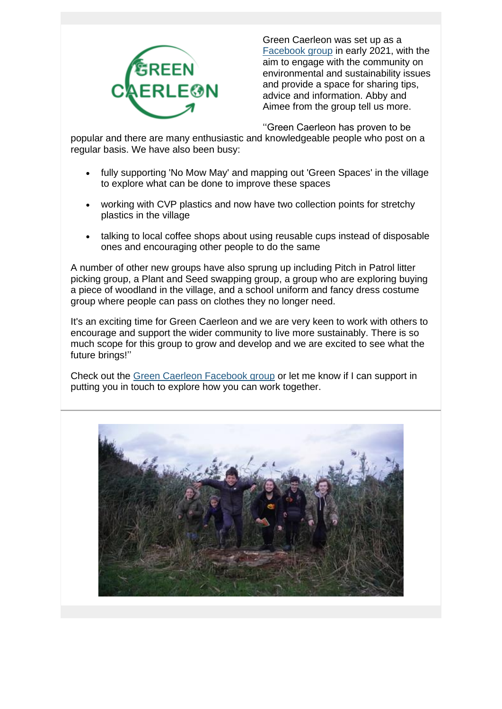

Green Caerleon was set up as a [Facebook group](https://lnks.gd/l/eyJhbGciOiJIUzI1NiJ9.eyJidWxsZXRpbl9saW5rX2lkIjoxMDksInVyaSI6ImJwMjpjbGljayIsImJ1bGxldGluX2lkIjoiMjAyMTExMTUuNDg4NzE3ODEiLCJ1cmwiOiJodHRwczovL3d3dy5mYWNlYm9vay5jb20vZ3JvdXBzLzMwNjQ2NzcxMTA0MjY1MjgvP3V0bV9tZWRpdW09ZW1haWwmdXRtX3NvdXJjZT1nb3ZkZWxpdmVyeSJ9.3f42FRt5qa_yh1ExWkaR2wURnpAxUKE7lzRKE1JbkLE/s/1365653461/br/120984871246-l) in early 2021, with the aim to engage with the community on environmental and sustainability issues and provide a space for sharing tips, advice and information. Abby and Aimee from the group tell us more.

''Green Caerleon has proven to be

popular and there are many enthusiastic and knowledgeable people who post on a regular basis. We have also been busy:

- fully supporting 'No Mow May' and mapping out 'Green Spaces' in the village to explore what can be done to improve these spaces
- working with CVP plastics and now have two collection points for stretchy plastics in the village
- talking to local coffee shops about using reusable cups instead of disposable ones and encouraging other people to do the same

A number of other new groups have also sprung up including Pitch in Patrol litter picking group, a Plant and Seed swapping group, a group who are exploring buying a piece of woodland in the village, and a school uniform and fancy dress costume group where people can pass on clothes they no longer need.

It's an exciting time for Green Caerleon and we are very keen to work with others to encourage and support the wider community to live more sustainably. There is so much scope for this group to grow and develop and we are excited to see what the future brings!''

Check out the [Green Caerleon Facebook group](https://lnks.gd/l/eyJhbGciOiJIUzI1NiJ9.eyJidWxsZXRpbl9saW5rX2lkIjoxMTAsInVyaSI6ImJwMjpjbGljayIsImJ1bGxldGluX2lkIjoiMjAyMTExMTUuNDg4NzE3ODEiLCJ1cmwiOiJodHRwczovL3d3dy5mYWNlYm9vay5jb20vZ3JvdXBzLzMwNjQ2NzcxMTA0MjY1MjgvP3V0bV9tZWRpdW09ZW1haWwmdXRtX3NvdXJjZT1nb3ZkZWxpdmVyeSJ9.RfKClo8hKK_OcBDv51qP8FfORN_n5ckk76ltefl2RNE/s/1365653461/br/120984871246-l) or let me know if I can support in putting you in touch to explore how you can work together.

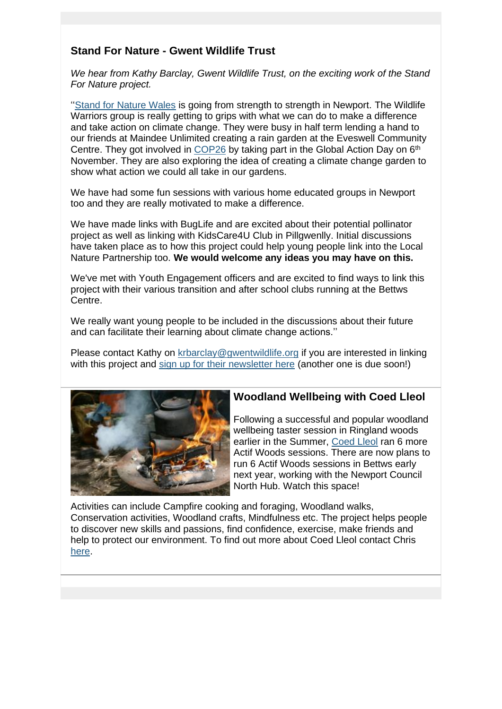#### **Stand For Nature - Gwent Wildlife Trust**

*We hear from Kathy Barclay, Gwent Wildlife Trust, on the exciting work of the Stand For Nature project.*

'['Stand for Nature Wales](https://lnks.gd/l/eyJhbGciOiJIUzI1NiJ9.eyJidWxsZXRpbl9saW5rX2lkIjoxMTEsInVyaSI6ImJwMjpjbGljayIsImJ1bGxldGluX2lkIjoiMjAyMTExMTUuNDg4NzE3ODEiLCJ1cmwiOiJodHRwczovL3d3dy5nd2VudHdpbGRsaWZlLm9yZy9TdGFuZEZvck5hdHVyZVdhbGVzP3V0bV9tZWRpdW09ZW1haWwmdXRtX3NvdXJjZT1nb3ZkZWxpdmVyeSJ9.COS3OFxQMnmKrspsN_yDbricMWoep4YorKukiI0GaGg/s/1365653461/br/120984871246-l) is going from strength to strength in Newport. The Wildlife Warriors group is really getting to grips with what we can do to make a difference and take action on climate change. They were busy in half term lending a hand to our friends at Maindee Unlimited creating a rain garden at the Eveswell Community Centre. They got involved in [COP26](https://lnks.gd/l/eyJhbGciOiJIUzI1NiJ9.eyJidWxsZXRpbl9saW5rX2lkIjoxMTIsInVyaSI6ImJwMjpjbGljayIsImJ1bGxldGluX2lkIjoiMjAyMTExMTUuNDg4NzE3ODEiLCJ1cmwiOiJodHRwczovL3VrY29wMjYub3JnLz91dG1fbWVkaXVtPWVtYWlsJnV0bV9zb3VyY2U9Z292ZGVsaXZlcnkifQ._LKdq8uZrBXLyY__pzrOB8A23629549XU-zRD53PfhA/s/1365653461/br/120984871246-l) by taking part in the Global Action Day on 6<sup>th</sup> November. They are also exploring the idea of creating a climate change garden to show what action we could all take in our gardens.

We have had some fun sessions with various home educated groups in Newport too and they are really motivated to make a difference.

We have made links with BugLife and are excited about their potential pollinator project as well as linking with KidsCare4U Club in Pillgwenlly. Initial discussions have taken place as to how this project could help young people link into the Local Nature Partnership too. **We would welcome any ideas you may have on this.**

We've met with Youth Engagement officers and are excited to find ways to link this project with their various transition and after school clubs running at the Bettws Centre.

We really want young people to be included in the discussions about their future and can facilitate their learning about climate change actions.''

Please contact Kathy on [krbarclay@gwentwildlife.org](mailto:krbarclay@gwentwildlife.org) if you are interested in linking with this project and [sign up for their newsletter here](https://lnks.gd/l/eyJhbGciOiJIUzI1NiJ9.eyJidWxsZXRpbl9saW5rX2lkIjoxMTMsInVyaSI6ImJwMjpjbGljayIsImJ1bGxldGluX2lkIjoiMjAyMTExMTUuNDg4NzE3ODEiLCJ1cmwiOiJodHRwczovL2d3ZW50d2lsZGxpZmUudXMxLmxpc3QtbWFuYWdlLmNvbS9zdWJzY3JpYmU_aWQ9NmFkYjAwMzFhYiZ1PTZmYjJkMjAxYjcyNGU3NjMyNDM3OGJkZTgmdXRtX21lZGl1bT1lbWFpbCZ1dG1fc291cmNlPWdvdmRlbGl2ZXJ5In0.27PlTL12XE0wvxxb0qoN4IbS6w5F-qcMf62Tl1ndRPU/s/1365653461/br/120984871246-l) (another one is due soon!)



#### **Woodland Wellbeing with Coed Lleol**

Following a successful and popular woodland wellbeing taster session in Ringland woods earlier in the Summer, [Coed Lleol](https://lnks.gd/l/eyJhbGciOiJIUzI1NiJ9.eyJidWxsZXRpbl9saW5rX2lkIjoxMTQsInVyaSI6ImJwMjpjbGljayIsImJ1bGxldGluX2lkIjoiMjAyMTExMTUuNDg4NzE3ODEiLCJ1cmwiOiJodHRwczovL3d3dy5zbWFsbHdvb2RzLm9yZy51ay9lbi9jb2VkbGxlb2wvd2hhdC13ZS1kby9wcm9qZWN0cy9hY3RpZi13b29kcy13YWxlcy8_dXRtX21lZGl1bT1lbWFpbCZ1dG1fc291cmNlPWdvdmRlbGl2ZXJ5In0.O9wV8feGZR0IsfAy-uy9xU2-W1hi97CF7QQrd3-dpqs/s/1365653461/br/120984871246-l) ran 6 more Actif Woods sessions. There are now plans to run 6 Actif Woods sessions in Bettws early next year, working with the Newport Council North Hub. Watch this space!

Activities can include Campfire cooking and foraging, Woodland walks, Conservation activities, Woodland crafts, Mindfulness etc. The project helps people to discover new skills and passions, find confidence, exercise, make friends and help to protect our environment. To find out more about Coed Lleol contact Chris [here.](https://lnks.gd/l/eyJhbGciOiJIUzI1NiJ9.eyJidWxsZXRpbl9saW5rX2lkIjoxMTUsInVyaSI6ImJwMjpjbGljayIsImJ1bGxldGluX2lkIjoiMjAyMTExMTUuNDg4NzE3ODEiLCJ1cmwiOiJodHRwczovL3d3dy5zbWFsbHdvb2RzLm9yZy51ay9lbi9jb2VkbGxlb2wvd2hhdC13ZS1kby9wcm9qZWN0cy9hY3RpZi13b29kcy13YWxlcy9hY3RpZi13b29kcy1nd2VudC8_dXRtX21lZGl1bT1lbWFpbCZ1dG1fc291cmNlPWdvdmRlbGl2ZXJ5In0.Mnsq0b5DDBVelVtKNs4lvDEtW6rjfifrmy34bZyg19c/s/1365653461/br/120984871246-l)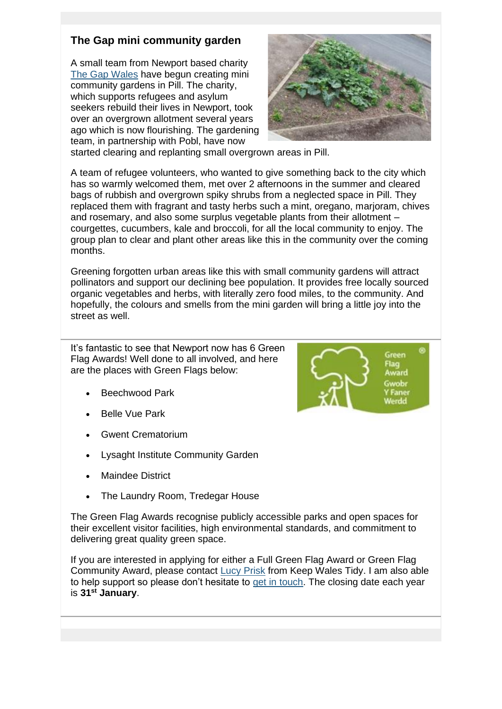#### **The Gap mini community garden**

A small team from Newport based charity [The Gap Wales](https://lnks.gd/l/eyJhbGciOiJIUzI1NiJ9.eyJidWxsZXRpbl9saW5rX2lkIjoxMTYsInVyaSI6ImJwMjpjbGljayIsImJ1bGxldGluX2lkIjoiMjAyMTExMTUuNDg4NzE3ODEiLCJ1cmwiOiJodHRwczovL3d3dy50aGVnYXAud2FsZXMvP3V0bV9tZWRpdW09ZW1haWwmdXRtX3NvdXJjZT1nb3ZkZWxpdmVyeSJ9.a_SLZiAd_ZiKiDT3UD2-U7lU_bIVQCsxbz7PNqZRuvU/s/1365653461/br/120984871246-l) have begun creating mini community gardens in Pill. The charity, which supports refugees and asylum seekers rebuild their lives in Newport, took over an overgrown allotment several years ago which is now flourishing. The gardening team, in partnership with Pobl, have now



started clearing and replanting small overgrown areas in Pill.

A team of refugee volunteers, who wanted to give something back to the city which has so warmly welcomed them, met over 2 afternoons in the summer and cleared bags of rubbish and overgrown spiky shrubs from a neglected space in Pill. They replaced them with fragrant and tasty herbs such a mint, oregano, marjoram, chives and rosemary, and also some surplus vegetable plants from their allotment – courgettes, cucumbers, kale and broccoli, for all the local community to enjoy. The group plan to clear and plant other areas like this in the community over the coming months.

Greening forgotten urban areas like this with small community gardens will attract pollinators and support our declining bee population. It provides free locally sourced organic vegetables and herbs, with literally zero food miles, to the community. And hopefully, the colours and smells from the mini garden will bring a little joy into the street as well.

It's fantastic to see that Newport now has 6 Green Flag Awards! Well done to all involved, and here are the places with Green Flags below:

- Beechwood Park
- Belle Vue Park
- Gwent Crematorium
- Lysaght Institute Community Garden
- Maindee District
- The Laundry Room, Tredegar House

The Green Flag Awards recognise publicly accessible parks and open spaces for their excellent visitor facilities, high environmental standards, and commitment to delivering great quality green space.

If you are interested in applying for either a Full Green Flag Award or Green Flag Community Award, please contact [Lucy Prisk](mailto:lucy.prisk@keepwalestidy,cymru) from Keep Wales Tidy. I am also able to help support so please don't hesitate to [get in touch.](mailto:harriet.bleach@cyfoethnaturiolcymru.gov.uk) The closing date each year is **31st January**.

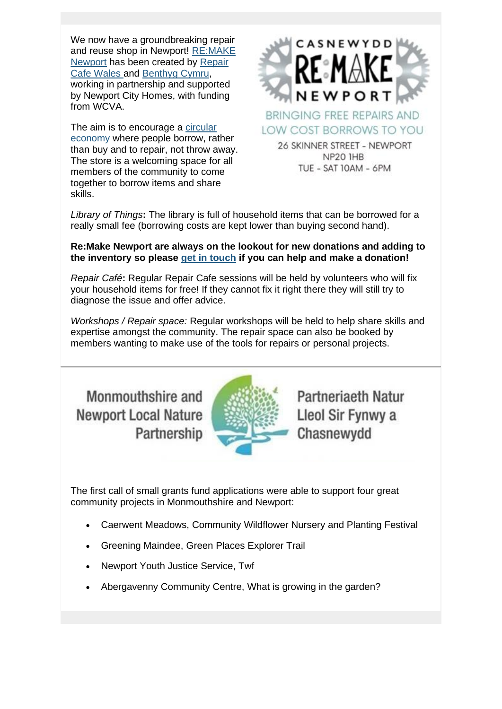We now have a groundbreaking repair and reuse shop in Newport! [RE:MAKE](https://lnks.gd/l/eyJhbGciOiJIUzI1NiJ9.eyJidWxsZXRpbl9saW5rX2lkIjoxMTcsInVyaSI6ImJwMjpjbGljayIsImJ1bGxldGluX2lkIjoiMjAyMTExMTUuNDg4NzE3ODEiLCJ1cmwiOiJodHRwczovL3d3dy5yZW1ha2VuZXdwb3J0Lm9yZy8_dXRtX21lZGl1bT1lbWFpbCZ1dG1fc291cmNlPWdvdmRlbGl2ZXJ5In0.LfCgJdT6aRMmm-dVzMN4tfcYxL2XMG1wfnvXFvkV9-E/s/1365653461/br/120984871246-l)  [Newport](https://lnks.gd/l/eyJhbGciOiJIUzI1NiJ9.eyJidWxsZXRpbl9saW5rX2lkIjoxMTcsInVyaSI6ImJwMjpjbGljayIsImJ1bGxldGluX2lkIjoiMjAyMTExMTUuNDg4NzE3ODEiLCJ1cmwiOiJodHRwczovL3d3dy5yZW1ha2VuZXdwb3J0Lm9yZy8_dXRtX21lZGl1bT1lbWFpbCZ1dG1fc291cmNlPWdvdmRlbGl2ZXJ5In0.LfCgJdT6aRMmm-dVzMN4tfcYxL2XMG1wfnvXFvkV9-E/s/1365653461/br/120984871246-l) has been created by [Repair](https://lnks.gd/l/eyJhbGciOiJIUzI1NiJ9.eyJidWxsZXRpbl9saW5rX2lkIjoxMTgsInVyaSI6ImJwMjpjbGljayIsImJ1bGxldGluX2lkIjoiMjAyMTExMTUuNDg4NzE3ODEiLCJ1cmwiOiJodHRwczovL3JlcGFpcmNhZmV3YWxlcy5vcmcvP3V0bV9tZWRpdW09ZW1haWwmdXRtX3NvdXJjZT1nb3ZkZWxpdmVyeSJ9.o0jupmM2cYtO0R4T2OO8rjbu1T9kVehyDvoFWCEwLaI/s/1365653461/br/120984871246-l)  [Cafe Wales a](https://lnks.gd/l/eyJhbGciOiJIUzI1NiJ9.eyJidWxsZXRpbl9saW5rX2lkIjoxMTgsInVyaSI6ImJwMjpjbGljayIsImJ1bGxldGluX2lkIjoiMjAyMTExMTUuNDg4NzE3ODEiLCJ1cmwiOiJodHRwczovL3JlcGFpcmNhZmV3YWxlcy5vcmcvP3V0bV9tZWRpdW09ZW1haWwmdXRtX3NvdXJjZT1nb3ZkZWxpdmVyeSJ9.o0jupmM2cYtO0R4T2OO8rjbu1T9kVehyDvoFWCEwLaI/s/1365653461/br/120984871246-l)nd [Benthyg Cymru,](https://lnks.gd/l/eyJhbGciOiJIUzI1NiJ9.eyJidWxsZXRpbl9saW5rX2lkIjoxMTksInVyaSI6ImJwMjpjbGljayIsImJ1bGxldGluX2lkIjoiMjAyMTExMTUuNDg4NzE3ODEiLCJ1cmwiOiJodHRwczovL3d3dy5iZW50aHlnLWN5bXJ1Lm9yZy8_dXRtX21lZGl1bT1lbWFpbCZ1dG1fc291cmNlPWdvdmRlbGl2ZXJ5In0.Yzw-L4HhY_hX3GufwCBfZlhoveaAWWtqzTukZrpAmhs/s/1365653461/br/120984871246-l) working in partnership and supported by Newport City Homes, with funding from WCVA.

The aim is to encourage a [circular](https://lnks.gd/l/eyJhbGciOiJIUzI1NiJ9.eyJidWxsZXRpbl9saW5rX2lkIjoxMjAsInVyaSI6ImJwMjpjbGljayIsImJ1bGxldGluX2lkIjoiMjAyMTExMTUuNDg4NzE3ODEiLCJ1cmwiOiJodHRwczovL3d3dy5yZW1ha2VuZXdwb3J0Lm9yZy9jaXJjdWxhci0xND91dG1fbWVkaXVtPWVtYWlsJnV0bV9zb3VyY2U9Z292ZGVsaXZlcnkifQ.u0TpHq3LP0c_MubpsrzkTJRprySY6ZsIk2PhBx8XWh0/s/1365653461/br/120984871246-l)  [economy](https://lnks.gd/l/eyJhbGciOiJIUzI1NiJ9.eyJidWxsZXRpbl9saW5rX2lkIjoxMjAsInVyaSI6ImJwMjpjbGljayIsImJ1bGxldGluX2lkIjoiMjAyMTExMTUuNDg4NzE3ODEiLCJ1cmwiOiJodHRwczovL3d3dy5yZW1ha2VuZXdwb3J0Lm9yZy9jaXJjdWxhci0xND91dG1fbWVkaXVtPWVtYWlsJnV0bV9zb3VyY2U9Z292ZGVsaXZlcnkifQ.u0TpHq3LP0c_MubpsrzkTJRprySY6ZsIk2PhBx8XWh0/s/1365653461/br/120984871246-l) where people borrow, rather than buy and to repair, not throw away. The store is a welcoming space for all members of the community to come together to borrow items and share skills.



**BRINGING FREE REPAIRS AND** LOW COST BORROWS TO YOU

26 SKINNER STREET - NEWPORT NP20 IHB TUE - SAT 10AM - 6PM

*Library of Things***:** The library is full of household items that can be borrowed for a really small fee (borrowing costs are kept lower than buying second hand).

#### **Re:Make Newport are always on the lookout for new donations and adding to the inventory so please [get in touch](mailto:hello@remakenewport.org) if you can help and make a donation!**

*Repair Café***:** Regular Repair Cafe sessions will be held by volunteers who will fix your household items for free! If they cannot fix it right there they will still try to diagnose the issue and offer advice.

*Workshops / Repair space:* Regular workshops will be held to help share skills and expertise amongst the community. The repair space can also be booked by members wanting to make use of the tools for repairs or personal projects.

## Monmouthshire and **Newport Local Nature** Partnership



Partneriaeth Natur Lleol Sir Fynwy a Chasnewydd

The first call of small grants fund applications were able to support four great community projects in Monmouthshire and Newport:

- Caerwent Meadows, Community Wildflower Nursery and Planting Festival
- Greening Maindee, Green Places Explorer Trail
- Newport Youth Justice Service, Twf
- Abergavenny Community Centre, What is growing in the garden?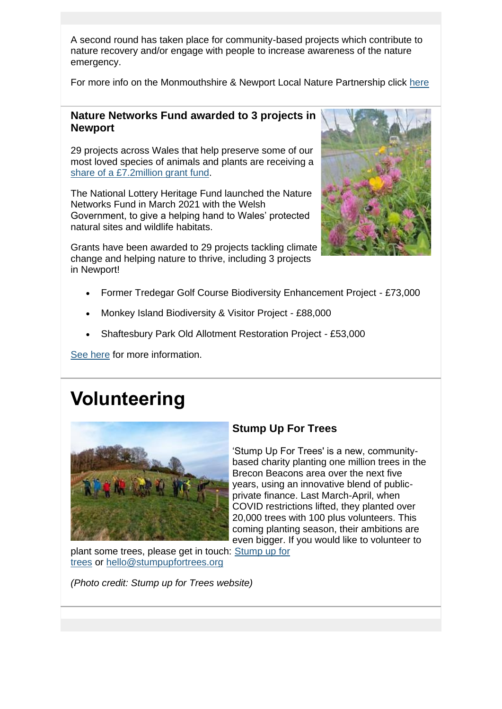A second round has taken place for community-based projects which contribute to nature recovery and/or engage with people to increase awareness of the nature emergency.

For more info on the Monmouthshire & Newport Local Nature Partnership click [here](https://lnks.gd/l/eyJhbGciOiJIUzI1NiJ9.eyJidWxsZXRpbl9saW5rX2lkIjoxMjEsInVyaSI6ImJwMjpjbGljayIsImJ1bGxldGluX2lkIjoiMjAyMTExMTUuNDg4NzE3ODEiLCJ1cmwiOiJodHRwczovL3d3dy5iaW9kaXZlcnNpdHl3YWxlcy5vcmcudWsvTmV3cG9ydD91dG1fbWVkaXVtPWVtYWlsJnV0bV9zb3VyY2U9Z292ZGVsaXZlcnkifQ.4v1-M0jMsNpAvEKZ6mGX9LdtBZGvbvO8oeT9GkszdwE/s/1365653461/br/120984871246-l)

#### **Nature Networks Fund awarded to 3 projects in Newport**

29 projects across Wales that help preserve some of our most loved species of animals and plants are receiving a share [of a £7.2million grant fund.](https://lnks.gd/l/eyJhbGciOiJIUzI1NiJ9.eyJidWxsZXRpbl9saW5rX2lkIjoxMjIsInVyaSI6ImJwMjpjbGljayIsImJ1bGxldGluX2lkIjoiMjAyMTExMTUuNDg4NzE3ODEiLCJ1cmwiOiJodHRwczovL3d3dy5oZXJpdGFnZWZ1bmQub3JnLnVrL25ld3MvbmF0dXJlLW5ldHdvcmtzLWZ1bmQtcHM3Mm1pbGxpb24tcHJvdGVjdC13YWxlcy10aHJlYXRlbmVkLXNwZWNpZXMtYW5kLWhhYml0YXRzP3V0bV9tZWRpdW09ZW1haWwmdXRtX3NvdXJjZT1nb3ZkZWxpdmVyeSJ9.Q56KMBteUci5_MFrI9Sclk8myz03sTYzDjUCYiblhIs/s/1365653461/br/120984871246-l)

The National Lottery Heritage Fund launched the Nature Networks Fund in March 2021 with the Welsh Government, to give a helping hand to Wales' protected natural sites and wildlife habitats.

Grants have been awarded to 29 projects tackling climate change and helping nature to thrive, including 3 projects in Newport!



- Former Tredegar Golf Course Biodiversity Enhancement Project £73,000
- Monkey Island Biodiversity & Visitor Project £88,000
- Shaftesbury Park Old Allotment Restoration Project £53,000

[See here](https://lnks.gd/l/eyJhbGciOiJIUzI1NiJ9.eyJidWxsZXRpbl9saW5rX2lkIjoxMjMsInVyaSI6ImJwMjpjbGljayIsImJ1bGxldGluX2lkIjoiMjAyMTExMTUuNDg4NzE3ODEiLCJ1cmwiOiJodHRwczovL21lZGlhLnNlcnZpY2UuZ292LndhbGVzL25ld3MvMjktbmV3LXByb2plY3RzLXRoYXQtd2lsbC1oZWxwLXRlYW0td2FsZXMtdGFja2xlLWNsaW1hdGUtYW5kLW5hdHVyZS1lbWVyZ2VuY2llcz91dG1fbWVkaXVtPWVtYWlsJnV0bV9zb3VyY2U9Z292ZGVsaXZlcnkifQ.zl3IHeXsA4145WvTSH83uhEn4BmcV4sjc8KJZB4IJV8/s/1365653461/br/120984871246-l) for more information.

# **Volunteering**



#### **Stump Up For Trees**

'Stump Up For Trees' is a new, communitybased charity planting one million trees in the Brecon Beacons area over the next five years, using an innovative blend of publicprivate finance. Last March-April, when COVID restrictions lifted, they planted over 20,000 trees with 100 plus volunteers. This coming planting season, their ambitions are even bigger. If you would like to volunteer to

plant some trees, please get in touch: [Stump up for](https://lnks.gd/l/eyJhbGciOiJIUzI1NiJ9.eyJidWxsZXRpbl9saW5rX2lkIjoxMjQsInVyaSI6ImJwMjpjbGljayIsImJ1bGxldGluX2lkIjoiMjAyMTExMTUuNDg4NzE3ODEiLCJ1cmwiOiJodHRwczovL3N0dW1wdXBmb3J0cmVlcy5vcmcvP3V0bV9tZWRpdW09ZW1haWwmdXRtX3NvdXJjZT1nb3ZkZWxpdmVyeSJ9.I6MC14NxEkFWocZwOXN_aXC1KDvTCeorri06ZrSQUeM/s/1365653461/br/120984871246-l)  [trees](https://lnks.gd/l/eyJhbGciOiJIUzI1NiJ9.eyJidWxsZXRpbl9saW5rX2lkIjoxMjQsInVyaSI6ImJwMjpjbGljayIsImJ1bGxldGluX2lkIjoiMjAyMTExMTUuNDg4NzE3ODEiLCJ1cmwiOiJodHRwczovL3N0dW1wdXBmb3J0cmVlcy5vcmcvP3V0bV9tZWRpdW09ZW1haWwmdXRtX3NvdXJjZT1nb3ZkZWxpdmVyeSJ9.I6MC14NxEkFWocZwOXN_aXC1KDvTCeorri06ZrSQUeM/s/1365653461/br/120984871246-l) or [hello@stumpupfortrees.org](mailto:hello@stumpupfortrees.org)

*(Photo credit: Stump up for Trees website)*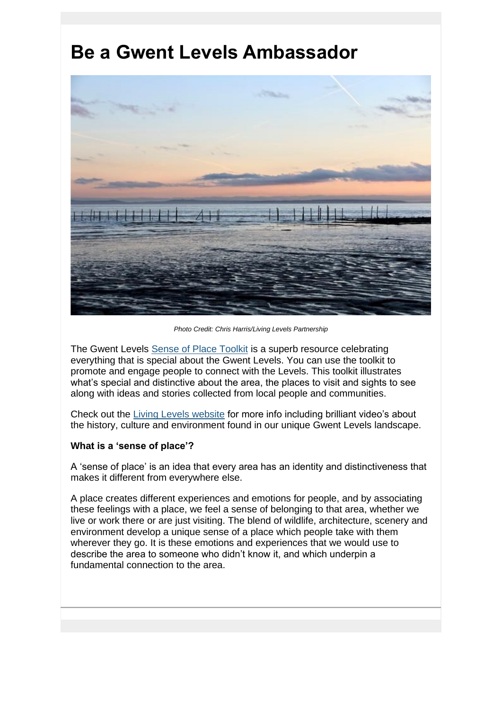# **Be a Gwent Levels Ambassador**



*Photo Credit: Chris Harris/Living Levels Partnership*

The Gwent Levels [Sense of Place Toolkit](https://lnks.gd/l/eyJhbGciOiJIUzI1NiJ9.eyJidWxsZXRpbl9saW5rX2lkIjoxMjUsInVyaSI6ImJwMjpjbGljayIsImJ1bGxldGluX2lkIjoiMjAyMTExMTUuNDg4NzE3ODEiLCJ1cmwiOiJodHRwczovL3d3dy5saXZpbmdsZXZlbHMub3JnLnVrL3NlbnNlLW9mLXBsYWNlLXRvb2xraXQ_dXRtX21lZGl1bT1lbWFpbCZ1dG1fc291cmNlPWdvdmRlbGl2ZXJ5In0.m798K2HGYkANT9g5BYXHgrjfDx58capxzpMhg0ZB4K8/s/1365653461/br/120984871246-l) is a superb resource celebrating everything that is special about the Gwent Levels. You can use the toolkit to promote and engage people to connect with the Levels. This toolkit illustrates what's special and distinctive about the area, the places to visit and sights to see along with ideas and stories collected from local people and communities.

Check out the [Living Levels website](https://lnks.gd/l/eyJhbGciOiJIUzI1NiJ9.eyJidWxsZXRpbl9saW5rX2lkIjoxMjYsInVyaSI6ImJwMjpjbGljayIsImJ1bGxldGluX2lkIjoiMjAyMTExMTUuNDg4NzE3ODEiLCJ1cmwiOiJodHRwczovL3d3dy5saXZpbmdsZXZlbHMub3JnLnVrL3NlbnNlLW9mLXBsYWNlLXRvb2xraXQ_dXRtX21lZGl1bT1lbWFpbCZ1dG1fc291cmNlPWdvdmRlbGl2ZXJ5In0.9uZRL3iFN5iV3JyXr1JYxaSFZcl8KZZITnjKKNd16w8/s/1365653461/br/120984871246-l) for more info including brilliant video's about the history, culture and environment found in our unique Gwent Levels landscape.

#### **What is a 'sense of place'?**

A 'sense of place' is an idea that every area has an identity and distinctiveness that makes it different from everywhere else.

A place creates different experiences and emotions for people, and by associating these feelings with a place, we feel a sense of belonging to that area, whether we live or work there or are just visiting. The blend of wildlife, architecture, scenery and environment develop a unique sense of a place which people take with them wherever they go. It is these emotions and experiences that we would use to describe the area to someone who didn't know it, and which underpin a fundamental connection to the area.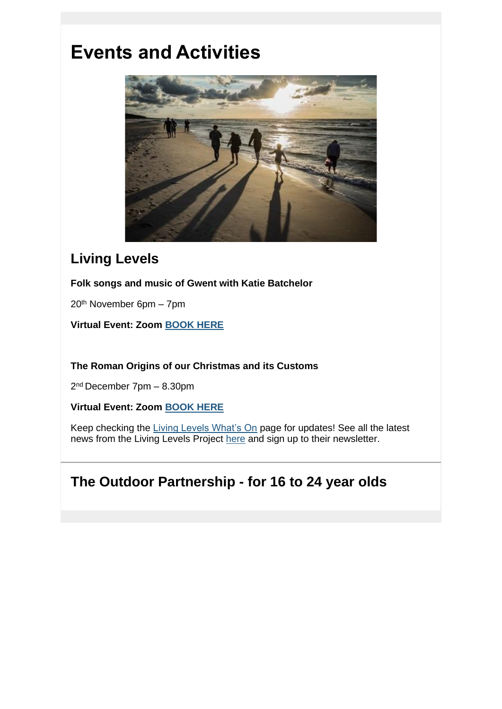# **Events and Activities**



### **Living Levels**

**Folk songs and music of Gwent with Katie Batchelor**

20th November 6pm – 7pm

**Virtual Event: Zoom [BOOK HERE](https://lnks.gd/l/eyJhbGciOiJIUzI1NiJ9.eyJidWxsZXRpbl9saW5rX2lkIjoxMjcsInVyaSI6ImJwMjpjbGljayIsImJ1bGxldGluX2lkIjoiMjAyMTExMTUuNDg4NzE3ODEiLCJ1cmwiOiJodHRwczovL3d3dy5saXZpbmdsZXZlbHMub3JnLnVrL2V2ZW50cy8yMDIxLzExLzIwL2ZvbGstc29uZ3MtYW5kLW11c2ljLW9mLWd3ZW50LXdpdGgta2F0aWUtYmF0Y2hlbG9yP3V0bV9tZWRpdW09ZW1haWwmdXRtX3NvdXJjZT1nb3ZkZWxpdmVyeSJ9.w9gBxiG1_xVAzu67Nq8wgoyC5dRto1xxaSqycl8ESqE/s/1365653461/br/120984871246-l)**

**The Roman Origins of our Christmas and its Customs**

2 nd December 7pm – 8.30pm

**Virtual Event: Zoom [BOOK HERE](https://lnks.gd/l/eyJhbGciOiJIUzI1NiJ9.eyJidWxsZXRpbl9saW5rX2lkIjoxMjgsInVyaSI6ImJwMjpjbGljayIsImJ1bGxldGluX2lkIjoiMjAyMTExMTUuNDg4NzE3ODEiLCJ1cmwiOiJodHRwczovL3d3dy5saXZpbmdsZXZlbHMub3JnLnVrL2V2ZW50cy8yMDIxLzEyLzIvdGhlLXJvbWFuLW9yaWdpbnMtb2Ytb3VyLWNocmlzdG1hcy1hbmQtaXRzLWN1c3RvbXMtZGF0ZS10by1iZS1jb25maXJtZWQ_dXRtX21lZGl1bT1lbWFpbCZ1dG1fc291cmNlPWdvdmRlbGl2ZXJ5In0.5m-bkO7d0HdoVGV4sLBU_jdxN0ZwBMYaeFogd4x-NLI/s/1365653461/br/120984871246-l)**

Keep checking the [Living Levels What's On](https://lnks.gd/l/eyJhbGciOiJIUzI1NiJ9.eyJidWxsZXRpbl9saW5rX2lkIjoxMjksInVyaSI6ImJwMjpjbGljayIsImJ1bGxldGluX2lkIjoiMjAyMTExMTUuNDg4NzE3ODEiLCJ1cmwiOiJodHRwczovL3d3dy5saXZpbmdsZXZlbHMub3JnLnVrL3doYXRzLW9uP3V0bV9tZWRpdW09ZW1haWwmdXRtX3NvdXJjZT1nb3ZkZWxpdmVyeSJ9.w8P9e-lWzJOgdlVK1sOyFWadEcTcufQB3RgIyiScDxk/s/1365653461/br/120984871246-l) page for updates! See all the latest news from the Living Levels Project [here](https://lnks.gd/l/eyJhbGciOiJIUzI1NiJ9.eyJidWxsZXRpbl9saW5rX2lkIjoxMzAsInVyaSI6ImJwMjpjbGljayIsImJ1bGxldGluX2lkIjoiMjAyMTExMTUuNDg4NzE3ODEiLCJ1cmwiOiJodHRwczovL3d3dy5saXZpbmdsZXZlbHMub3JnLnVrL25ld3MtMT91dG1fbWVkaXVtPWVtYWlsJnV0bV9zb3VyY2U9Z292ZGVsaXZlcnkifQ.lrPwAyM1206DEz0-9EflQ_6CY65lGXm8-FZ6_j-kzeo/s/1365653461/br/120984871246-l) and sign up to their newsletter.

## **The Outdoor Partnership - for 16 to 24 year olds**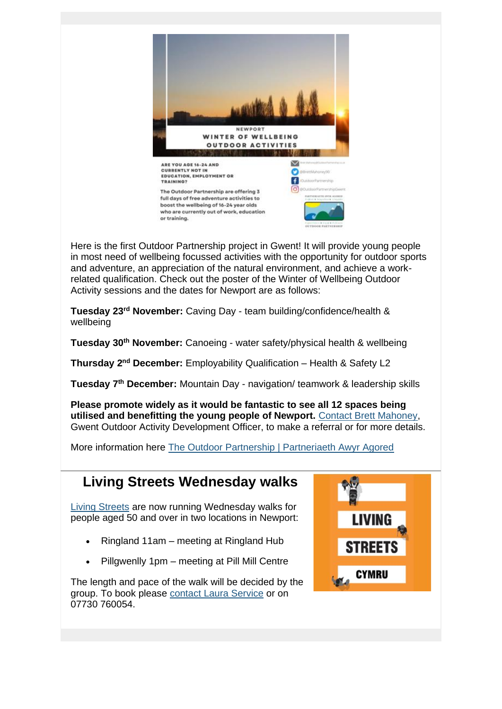

Here is the first Outdoor Partnership project in Gwent! It will provide young people in most need of wellbeing focussed activities with the opportunity for outdoor sports and adventure, an appreciation of the natural environment, and achieve a workrelated qualification. Check out the poster of the Winter of Wellbeing Outdoor Activity sessions and the dates for Newport are as follows:

**Tuesday 23rd November:** Caving Day - team building/confidence/health & wellbeing

**Tuesday 30th November:** Canoeing - water safety/physical health & wellbeing

**Thursday 2nd December:** Employability Qualification – Health & Safety L2

**Tuesday 7th December:** Mountain Day - navigation/ teamwork & leadership skills

**Please promote widely as it would be fantastic to see all 12 spaces being utilised and benefitting the young people of Newport.** [Contact Brett Mahoney,](mailto:brett.mahoney@partneriaeth-awyr-agored.co.uk) Gwent Outdoor Activity Development Officer, to make a referral or for more details.

More information here [The Outdoor Partnership | Partneriaeth Awyr Agored](https://lnks.gd/l/eyJhbGciOiJIUzI1NiJ9.eyJidWxsZXRpbl9saW5rX2lkIjoxMzEsInVyaSI6ImJwMjpjbGljayIsImJ1bGxldGluX2lkIjoiMjAyMTExMTUuNDg4NzE3ODEiLCJ1cmwiOiJodHRwczovL3BhcnRuZXJpYWV0aC1hd3lyLWFnb3JlZC5jby51ay8_dXRtX21lZGl1bT1lbWFpbCZ1dG1fc291cmNlPWdvdmRlbGl2ZXJ5In0.WgsGwd0xWteIH1MfSSgqhIDajEsLEH5dQj2xWGKieB0/s/1365653461/br/120984871246-l)

## **Living Streets Wednesday walks**

[Living Streets](https://lnks.gd/l/eyJhbGciOiJIUzI1NiJ9.eyJidWxsZXRpbl9saW5rX2lkIjoxMzIsInVyaSI6ImJwMjpjbGljayIsImJ1bGxldGluX2lkIjoiMjAyMTExMTUuNDg4NzE3ODEiLCJ1cmwiOiJodHRwczovL3d3dy5saXZpbmdzdHJlZXRzLm9yZy51ay9hYm91dC11cy93YWxlcz91dG1fbWVkaXVtPWVtYWlsJnV0bV9zb3VyY2U9Z292ZGVsaXZlcnkifQ.B6w7L5b82_toPapy-i_uvyQFI68p5cLrlgdhTzkMtQc/s/1365653461/br/120984871246-l) are now running Wednesday walks for people aged 50 and over in two locations in Newport:

- Ringland 11am meeting at Ringland Hub
- Pillgwenlly 1pm meeting at Pill Mill Centre

The length and pace of the walk will be decided by the group. To book please [contact Laura Service](mailto:laura.service@livingstreets.org.uk) or on 07730 760054.

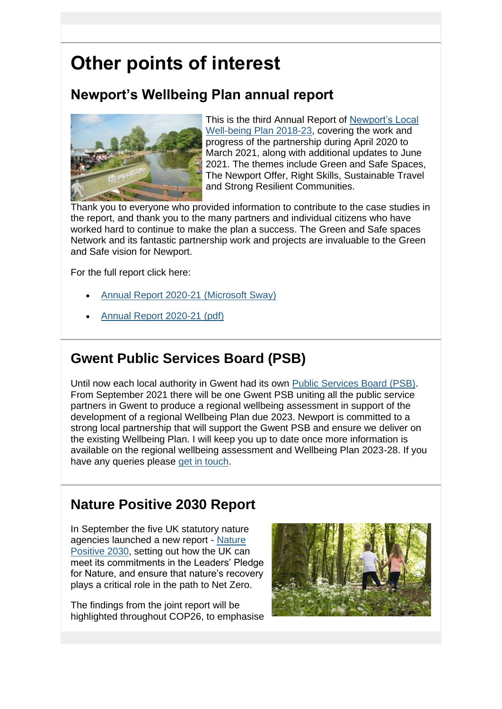# **Other points of interest**

## **Newport's Wellbeing Plan annual report**



This is the third Annual Report of [Newport's Local](https://lnks.gd/l/eyJhbGciOiJIUzI1NiJ9.eyJidWxsZXRpbl9saW5rX2lkIjoxMzMsInVyaSI6ImJwMjpjbGljayIsImJ1bGxldGluX2lkIjoiMjAyMTExMTUuNDg4NzE3ODEiLCJ1cmwiOiJodHRwczovL3d3dy5uZXdwb3J0Lmdvdi51ay9kb2N1bWVudHMvT25lLU5ld3BvcnQvTG9jYWwtV2VsbC1iZWluZy1QbGFuLTIwMTgtMjMtRW5nbGlzaC1GaW5hbC1SZXZpc2VkLUF1Zy0yMS5wZGY_dXRtX21lZGl1bT1lbWFpbCZ1dG1fc291cmNlPWdvdmRlbGl2ZXJ5In0.TGhLC0qG3BmyLOVxcakaUu6s3T-vF3D01rV1aZOcAVA/s/1365653461/br/120984871246-l)  [Well-being Plan 2018-23,](https://lnks.gd/l/eyJhbGciOiJIUzI1NiJ9.eyJidWxsZXRpbl9saW5rX2lkIjoxMzMsInVyaSI6ImJwMjpjbGljayIsImJ1bGxldGluX2lkIjoiMjAyMTExMTUuNDg4NzE3ODEiLCJ1cmwiOiJodHRwczovL3d3dy5uZXdwb3J0Lmdvdi51ay9kb2N1bWVudHMvT25lLU5ld3BvcnQvTG9jYWwtV2VsbC1iZWluZy1QbGFuLTIwMTgtMjMtRW5nbGlzaC1GaW5hbC1SZXZpc2VkLUF1Zy0yMS5wZGY_dXRtX21lZGl1bT1lbWFpbCZ1dG1fc291cmNlPWdvdmRlbGl2ZXJ5In0.TGhLC0qG3BmyLOVxcakaUu6s3T-vF3D01rV1aZOcAVA/s/1365653461/br/120984871246-l) covering the work and progress of the partnership during April 2020 to March 2021, along with additional updates to June 2021. The themes include Green and Safe Spaces, The Newport Offer, Right Skills, Sustainable Travel and Strong Resilient Communities.

Thank you to everyone who provided information to contribute to the case studies in the report, and thank you to the many partners and individual citizens who have worked hard to continue to make the plan a success. The Green and Safe spaces Network and its fantastic partnership work and projects are invaluable to the Green and Safe vision for Newport.

For the full report click here:

- [Annual Report 2020-21 \(Microsoft Sway\)](https://lnks.gd/l/eyJhbGciOiJIUzI1NiJ9.eyJidWxsZXRpbl9saW5rX2lkIjoxMzQsInVyaSI6ImJwMjpjbGljayIsImJ1bGxldGluX2lkIjoiMjAyMTExMTUuNDg4NzE3ODEiLCJ1cmwiOiJodHRwczovL3N3YXkub2ZmaWNlLmNvbS83eDB4ZE1vWkVkTVhHTE5NP3JlZj1MaW5rJnV0bV9tZWRpdW09ZW1haWwmdXRtX3NvdXJjZT1nb3ZkZWxpdmVyeSJ9.f-U9GnUfBTktmx9HNh7kfb9MIvYT_OvR6RN7AJ8XhJM/s/1365653461/br/120984871246-l)
- [Annual Report 2020-21 \(pdf\)](https://lnks.gd/l/eyJhbGciOiJIUzI1NiJ9.eyJidWxsZXRpbl9saW5rX2lkIjoxMzUsInVyaSI6ImJwMjpjbGljayIsImJ1bGxldGluX2lkIjoiMjAyMTExMTUuNDg4NzE3ODEiLCJ1cmwiOiJodHRwczovL3d3dy5uZXdwb3J0Lmdvdi51ay9kb2N1bWVudHMvT25lLU5ld3BvcnQvUGVyZm9ybWFuY2UvV2VsbGJlaW5nLVBsYW4tQW5udWFsLVJlcG9ydC0yMDIwLTIxLUVOLnBkZj91dG1fbWVkaXVtPWVtYWlsJnV0bV9zb3VyY2U9Z292ZGVsaXZlcnkifQ.M4WLXvsuTWF3wfC20QN64QEIOP0tjsFuTBTS-4GVr0c/s/1365653461/br/120984871246-l)

## **Gwent Public Services Board (PSB)**

Until now each local authority in Gwent had its own [Public Services Board \(PSB\).](https://lnks.gd/l/eyJhbGciOiJIUzI1NiJ9.eyJidWxsZXRpbl9saW5rX2lkIjoxMzYsInVyaSI6ImJwMjpjbGljayIsImJ1bGxldGluX2lkIjoiMjAyMTExMTUuNDg4NzE3ODEiLCJ1cmwiOiJodHRwczovL2dvdi53YWxlcy9wdWJsaWMtc2VydmljZXMtYm9hcmRzP3V0bV9tZWRpdW09ZW1haWwmdXRtX3NvdXJjZT1nb3ZkZWxpdmVyeSJ9.Gg8fhIFBQFtWDzOdNbGG7YVLeCrPFTU_j1jEz6N6xng/s/1365653461/br/120984871246-l) From September 2021 there will be one Gwent PSB uniting all the public service partners in Gwent to produce a regional wellbeing assessment in support of the development of a regional Wellbeing Plan due 2023. Newport is committed to a strong local partnership that will support the Gwent PSB and ensure we deliver on the existing Wellbeing Plan. I will keep you up to date once more information is available on the regional wellbeing assessment and Wellbeing Plan 2023-28. If you have any queries please [get in touch.](mailto:harriet.bleach@cyfoethnaturiolcymru.gov.uk)

### **Nature Positive 2030 Report**

In September the five UK statutory nature agencies launched a new report - [Nature](https://lnks.gd/l/eyJhbGciOiJIUzI1NiJ9.eyJidWxsZXRpbl9saW5rX2lkIjoxMzcsInVyaSI6ImJwMjpjbGljayIsImJ1bGxldGluX2lkIjoiMjAyMTExMTUuNDg4NzE3ODEiLCJ1cmwiOiJodHRwczovL2puY2MuZ292LnVrL291ci1yb2xlL3RoZS11ay9uYXR1cmUtcG9zaXRpdmUtMjAzMC8_dXRtX21lZGl1bT1lbWFpbCZ1dG1fc291cmNlPWdvdmRlbGl2ZXJ5In0.V2wN5A74SdysdwCQwoc1vaE4ubSkKfUmXO9JZte9geQ/s/1365653461/br/120984871246-l)  [Positive 2030,](https://lnks.gd/l/eyJhbGciOiJIUzI1NiJ9.eyJidWxsZXRpbl9saW5rX2lkIjoxMzcsInVyaSI6ImJwMjpjbGljayIsImJ1bGxldGluX2lkIjoiMjAyMTExMTUuNDg4NzE3ODEiLCJ1cmwiOiJodHRwczovL2puY2MuZ292LnVrL291ci1yb2xlL3RoZS11ay9uYXR1cmUtcG9zaXRpdmUtMjAzMC8_dXRtX21lZGl1bT1lbWFpbCZ1dG1fc291cmNlPWdvdmRlbGl2ZXJ5In0.V2wN5A74SdysdwCQwoc1vaE4ubSkKfUmXO9JZte9geQ/s/1365653461/br/120984871246-l) setting out how the UK can meet its commitments in the Leaders' Pledge for Nature, and ensure that nature's recovery plays a critical role in the path to Net Zero.

The findings from the joint report will be highlighted throughout COP26, to emphasise

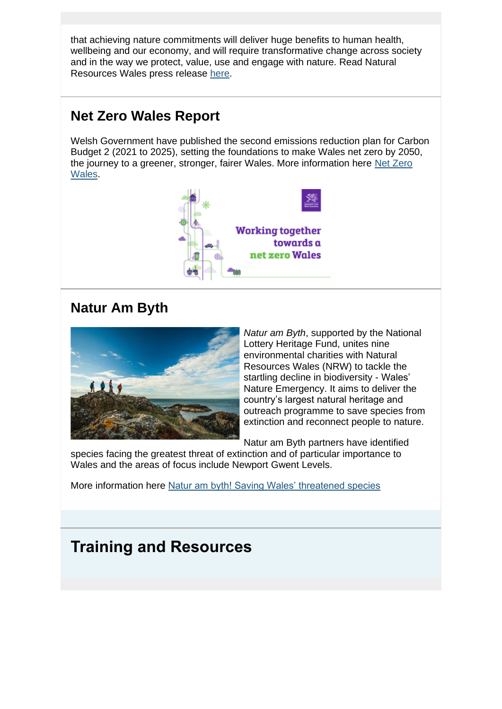that achieving nature commitments will deliver huge benefits to human health, wellbeing and our economy, and will require transformative change across society and in the way we protect, value, use and engage with nature. Read Natural Resources Wales press release [here.](https://lnks.gd/l/eyJhbGciOiJIUzI1NiJ9.eyJidWxsZXRpbl9saW5rX2lkIjoxMzgsInVyaSI6ImJwMjpjbGljayIsImJ1bGxldGluX2lkIjoiMjAyMTExMTUuNDg4NzE3ODEiLCJ1cmwiOiJodHRwczovL25hdHVyYWxyZXNvdXJjZXMud2FsZXMvYWJvdXQtdXMvbmV3cy1hbmQtZXZlbnRzL25ld3MvaXQtcy1ub3QtdG9vLWxhdGUtdG8tcmV2ZXJzZS1iaW9kaXZlcnNpdHktZGVjbGluZS1ieS0yMDMwLXVrLXMtZml2ZS1sZWFkaW5nLW5hdHVyZS1ib2RpZXMtc2F5Lz9sYW5nPWVuJnV0bV9tZWRpdW09ZW1haWwmdXRtX3NvdXJjZT1nb3ZkZWxpdmVyeSJ9.QojSm74A7gz8LM4PQskz0-Rz7GySgVX6L3-TLA0_X3M/s/1365653461/br/120984871246-l)

### **Net Zero Wales Report**

Welsh Government have published the second emissions reduction plan for Carbon Budget 2 (2021 to 2025), setting the foundations to make Wales net zero by 2050, the journey to a greener, stronger, fairer Wales. More information here [Net Zero](https://lnks.gd/l/eyJhbGciOiJIUzI1NiJ9.eyJidWxsZXRpbl9saW5rX2lkIjoxMzksInVyaSI6ImJwMjpjbGljayIsImJ1bGxldGluX2lkIjoiMjAyMTExMTUuNDg4NzE3ODEiLCJ1cmwiOiJodHRwczovL2dvdi53YWxlcy9uZXQtemVyby13YWxlcz91dG1fbWVkaXVtPWVtYWlsJnV0bV9zb3VyY2U9Z292ZGVsaXZlcnkifQ.ZUDfBZRdRN3F8P7nyT3ENUt2cbU9hPRbbP5Wbgzo3Ww/s/1365653461/br/120984871246-l)  [Wales.](https://lnks.gd/l/eyJhbGciOiJIUzI1NiJ9.eyJidWxsZXRpbl9saW5rX2lkIjoxMzksInVyaSI6ImJwMjpjbGljayIsImJ1bGxldGluX2lkIjoiMjAyMTExMTUuNDg4NzE3ODEiLCJ1cmwiOiJodHRwczovL2dvdi53YWxlcy9uZXQtemVyby13YWxlcz91dG1fbWVkaXVtPWVtYWlsJnV0bV9zb3VyY2U9Z292ZGVsaXZlcnkifQ.ZUDfBZRdRN3F8P7nyT3ENUt2cbU9hPRbbP5Wbgzo3Ww/s/1365653461/br/120984871246-l)



### **Natur Am Byth**



*Natur am Byth*, supported by the National Lottery Heritage Fund, unites nine environmental charities with Natural Resources Wales (NRW) to tackle the startling decline in biodiversity - Wales' Nature Emergency. It aims to deliver the country's largest natural heritage and outreach programme to save species from extinction and reconnect people to nature.

Natur am Byth partners have identified

species facing the greatest threat of extinction and of particular importance to Wales and the areas of focus include Newport Gwent Levels.

More information here [Natur am byth! Saving Wales' threatened species](https://lnks.gd/l/eyJhbGciOiJIUzI1NiJ9.eyJidWxsZXRpbl9saW5rX2lkIjoxNDAsInVyaSI6ImJwMjpjbGljayIsImJ1bGxldGluX2lkIjoiMjAyMTExMTUuNDg4NzE3ODEiLCJ1cmwiOiJodHRwczovL25hdHVyYWxyZXNvdXJjZXMud2FsZXMvYWJvdXQtdXMvb3VyLXByb2plY3RzL25hdHVyZS1wcm9qZWN0cy9uYXR1ci1hbS1ieXRoLz9sYW5nPWVuJnV0bV9tZWRpdW09ZW1haWwmdXRtX3NvdXJjZT1nb3ZkZWxpdmVyeSJ9.jH9sceNgS3jEU707T2hkOYy_WgLmJtSonWLI7UQ_Bak/s/1365653461/br/120984871246-l)

## **Training and Resources**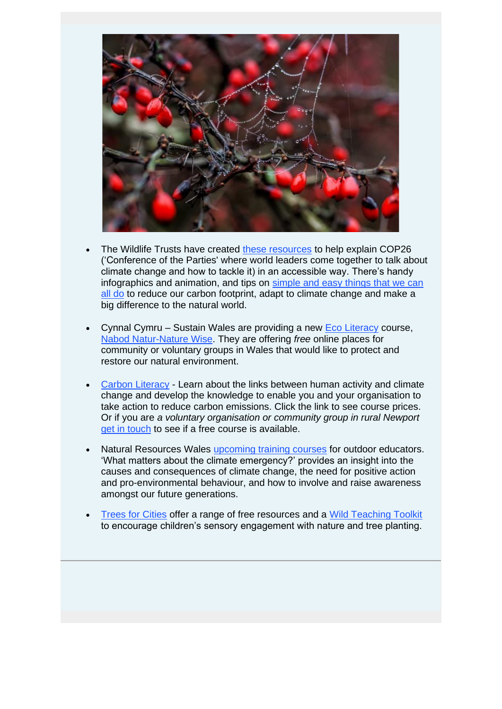

- The Wildlife Trusts have created [these resources](https://lnks.gd/l/eyJhbGciOiJIUzI1NiJ9.eyJidWxsZXRpbl9saW5rX2lkIjoxNDEsInVyaSI6ImJwMjpjbGljayIsImJ1bGxldGluX2lkIjoiMjAyMTExMTUuNDg4NzE3ODEiLCJ1cmwiOiJodHRwczovL3d3dy53aWxkbGlmZXRydXN0cy5vcmcvY29wMjYtcmVzb3VyY2VzP3V0bV9tZWRpdW09ZW1haWwmdXRtX3NvdXJjZT1nb3ZkZWxpdmVyeSJ9.PQuNIkrSFVUqb6TC4Zo-CDw7PfYlSvqs-RYS0j8Gt_U/s/1365653461/br/120984871246-l) to help explain COP26 ('Conference of the Parties' where world leaders come together to talk about climate change and how to tackle it) in an accessible way. There's handy infographics and animation, and tips on [simple and easy things that we can](https://lnks.gd/l/eyJhbGciOiJIUzI1NiJ9.eyJidWxsZXRpbl9saW5rX2lkIjoxNDIsInVyaSI6ImJwMjpjbGljayIsImJ1bGxldGluX2lkIjoiMjAyMTExMTUuNDg4NzE3ODEiLCJ1cmwiOiJodHRwczovL3d3dy53aWxkbGlmZXRydXN0cy5vcmcvdGhpbmdzLXlvdS1jYW4tZG8tY2xpbWF0ZS1jaGFuZ2U_dXRtX21lZGl1bT1lbWFpbCZ1dG1fc291cmNlPWdvdmRlbGl2ZXJ5In0.eX_2Bp4mcoBaiwCczwYBPeRn98NCJnUr_JT8tkCoavU/s/1365653461/br/120984871246-l)  [all do](https://lnks.gd/l/eyJhbGciOiJIUzI1NiJ9.eyJidWxsZXRpbl9saW5rX2lkIjoxNDIsInVyaSI6ImJwMjpjbGljayIsImJ1bGxldGluX2lkIjoiMjAyMTExMTUuNDg4NzE3ODEiLCJ1cmwiOiJodHRwczovL3d3dy53aWxkbGlmZXRydXN0cy5vcmcvdGhpbmdzLXlvdS1jYW4tZG8tY2xpbWF0ZS1jaGFuZ2U_dXRtX21lZGl1bT1lbWFpbCZ1dG1fc291cmNlPWdvdmRlbGl2ZXJ5In0.eX_2Bp4mcoBaiwCczwYBPeRn98NCJnUr_JT8tkCoavU/s/1365653461/br/120984871246-l) to reduce our carbon footprint, adapt to climate change and make a big difference to the natural world.
- Cynnal Cymru Sustain Wales are providing a new [Eco Literacy](https://lnks.gd/l/eyJhbGciOiJIUzI1NiJ9.eyJidWxsZXRpbl9saW5rX2lkIjoxNDMsInVyaSI6ImJwMjpjbGljayIsImJ1bGxldGluX2lkIjoiMjAyMTExMTUuNDg4NzE3ODEiLCJ1cmwiOiJodHRwczovL2N5bm5hbGN5bXJ1LmNvbS9uYXR1cmV3aXNlLWZyZWUvP3V0bV9tZWRpdW09ZW1haWwmdXRtX3NvdXJjZT1nb3ZkZWxpdmVyeSJ9.Ykk-uRIkhFjC8v3sN1oOWHKnnHf7EeeEtEhAQh9xui0/s/1365653461/br/120984871246-l) course, [Nabod Natur-Nature Wise.](https://lnks.gd/l/eyJhbGciOiJIUzI1NiJ9.eyJidWxsZXRpbl9saW5rX2lkIjoxNDQsInVyaSI6ImJwMjpjbGljayIsImJ1bGxldGluX2lkIjoiMjAyMTExMTUuNDg4NzE3ODEiLCJ1cmwiOiJodHRwczovL2N5bm5hbGN5bXJ1LmNvbS9uYXR1cmUtd2lzZS8_dXRtX21lZGl1bT1lbWFpbCZ1dG1fc291cmNlPWdvdmRlbGl2ZXJ5In0.EjyiAyaEIIRZ-sFz_qXX-fbAxun0nBPiUqwOxxtuLHE/s/1365653461/br/120984871246-l) They are offering *free* online places for community or voluntary groups in Wales that would like to protect and restore our natural environment.
- **[Carbon Literacy](https://lnks.gd/l/eyJhbGciOiJIUzI1NiJ9.eyJidWxsZXRpbl9saW5rX2lkIjoxNDUsInVyaSI6ImJwMjpjbGljayIsImJ1bGxldGluX2lkIjoiMjAyMTExMTUuNDg4NzE3ODEiLCJ1cmwiOiJodHRwczovL2N5bm5hbGN5bXJ1LmNvbS9jYXJib24tbGl0ZXJhY3kvP3V0bV9tZWRpdW09ZW1haWwmdXRtX3NvdXJjZT1nb3ZkZWxpdmVyeSJ9.QAE4MW8FxDcQCAvANznCtVY9JVx3pIG4HkvRNOwiwtc/s/1365653461/br/120984871246-l) Learn about the links between human activity and climate** change and develop the knowledge to enable you and your organisation to take action to reduce carbon emissions. Click the link to see course prices. Or if you are *a voluntary organisation or community group in rural Newport* [get in touch](mailto:harriet.bleach@cyfoethnaturiolcymru.gov.uk) to see if a free course is available.
- Natural Resources Wales [upcoming training courses](https://lnks.gd/l/eyJhbGciOiJIUzI1NiJ9.eyJidWxsZXRpbl9saW5rX2lkIjoxNDYsInVyaSI6ImJwMjpjbGljayIsImJ1bGxldGluX2lkIjoiMjAyMTExMTUuNDg4NzE3ODEiLCJ1cmwiOiJodHRwczovL3RvY3luLmN5bXJ1L2VuL29yZ2FuaXNhdGlvbi9jNGJjODIzNC03Y2VjLTQ3OGEtYjIwMC1iOTIyMzNmZmIyMzk_dXRtX21lZGl1bT1lbWFpbCZ1dG1fc291cmNlPWdvdmRlbGl2ZXJ5In0.enNhRSs7pQpFpKj_d2bdDe--gQQmN-dXWbX5UVN-440/s/1365653461/br/120984871246-l) for outdoor educators. 'What matters about the climate emergency?' provides an insight into the causes and consequences of climate change, the need for positive action and pro-environmental behaviour, and how to involve and raise awareness amongst our future generations.
- [Trees for Cities](https://lnks.gd/l/eyJhbGciOiJIUzI1NiJ9.eyJidWxsZXRpbl9saW5rX2lkIjoxNDcsInVyaSI6ImJwMjpjbGljayIsImJ1bGxldGluX2lkIjoiMjAyMTExMTUuNDg4NzE3ODEiLCJ1cmwiOiJodHRwczovL3d3dy50cmVlc2ZvcmNpdGllcy5vcmcvb3VyLXdvcms_dXRtX21lZGl1bT1lbWFpbCZ1dG1fc291cmNlPWdvdmRlbGl2ZXJ5In0.kEbWnYYN50kexWpubXdVjYMtkLuAyx4j8l3Q6LpG0jo/s/1365653461/br/120984871246-l) offer a range of free resources and a [Wild Teaching Toolkit](https://lnks.gd/l/eyJhbGciOiJIUzI1NiJ9.eyJidWxsZXRpbl9saW5rX2lkIjoxNDgsInVyaSI6ImJwMjpjbGljayIsImJ1bGxldGluX2lkIjoiMjAyMTExMTUuNDg4NzE3ODEiLCJ1cmwiOiJodHRwczovL3d3dy50cmVlc2ZvcmNpdGllcy5vcmcvb3VyLXdvcmsvc2Nob29scy1wcm9ncmFtbWUvdHJlZS13b29kbGFuZC1uYXR1cmUtcmVzb3VyY2VzL3dpbGQtdGVhY2hpbmctdG9vbGtpdD91dG1fbWVkaXVtPWVtYWlsJnV0bV9zb3VyY2U9Z292ZGVsaXZlcnkifQ._g1dKE-TrDGURh3WKe4UTeL-3r0JqBNrhTlVvTL8cZ0/s/1365653461/br/120984871246-l) to encourage children's sensory engagement with nature and tree planting.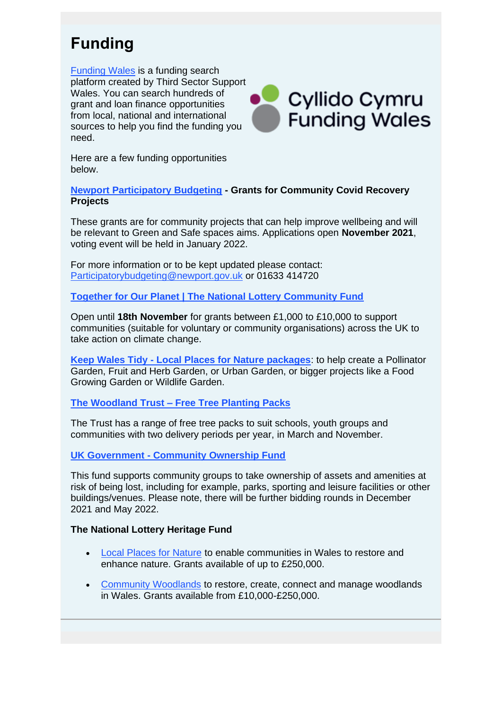## **Funding**

[Funding Wales](https://lnks.gd/l/eyJhbGciOiJIUzI1NiJ9.eyJidWxsZXRpbl9saW5rX2lkIjoxNDksInVyaSI6ImJwMjpjbGljayIsImJ1bGxldGluX2lkIjoiMjAyMTExMTUuNDg4NzE3ODEiLCJ1cmwiOiJodHRwczovL2Z1bmRpbmcuY3ltcnUvP3V0bV9tZWRpdW09ZW1haWwmdXRtX3NvdXJjZT1nb3ZkZWxpdmVyeSJ9.eSiyazQBUG7O1kSG5WvfD5uGc_k6rCX7T4EZ_rHYO00/s/1365653461/br/120984871246-l) is a funding search platform created by Third Sector Support Wales. You can search hundreds of grant and loan finance opportunities from local, national and international sources to help you find the funding you need.



Here are a few funding opportunities below.

**[Newport Participatory Budgeting](https://lnks.gd/l/eyJhbGciOiJIUzI1NiJ9.eyJidWxsZXRpbl9saW5rX2lkIjoxNTAsInVyaSI6ImJwMjpjbGljayIsImJ1bGxldGluX2lkIjoiMjAyMTExMTUuNDg4NzE3ODEiLCJ1cmwiOiJodHRwczovL3d3dy5uZXdwb3J0Lmdvdi51ay9lbi9BYm91dC1OZXdwb3J0L1BhcnRpY2lwYXRvcnktQnVkZ2V0aW5nL1BhcnRpY2lwYXRvcnktYnVkZ2V0aW5nLTIwMjEyMi1wcm9ncmFtbWUuYXNweD91dG1fbWVkaXVtPWVtYWlsJnV0bV9zb3VyY2U9Z292ZGVsaXZlcnkifQ.CaejCVFS3aSgRfYKtm26EsQx7NrL1u7VRqPvEQFnh8A/s/1365653461/br/120984871246-l) - Grants for Community Covid Recovery Projects**

These grants are for community projects that can help improve wellbeing and will be relevant to Green and Safe spaces aims. Applications open **November 2021**, voting event will be held in January 2022.

For more information or to be kept updated please contact: [Participatorybudgeting@newport.gov.uk](mailto:Participatorybudgeting@newport.gov.uk) or 01633 414720

**[Together for Our Planet | The National Lottery Community Fund](https://lnks.gd/l/eyJhbGciOiJIUzI1NiJ9.eyJidWxsZXRpbl9saW5rX2lkIjoxNTEsInVyaSI6ImJwMjpjbGljayIsImJ1bGxldGluX2lkIjoiMjAyMTExMTUuNDg4NzE3ODEiLCJ1cmwiOiJodHRwczovL3d3dy50bmxjb21tdW5pdHlmdW5kLm9yZy51ay9mdW5kaW5nL3Byb2dyYW1tZXMvdG9nZXRoZXItZm9yLW91ci1wbGFuZXQ_dXRtX21lZGl1bT1lbWFpbCZ1dG1fc291cmNlPWdvdmRlbGl2ZXJ5In0.RjyFnu3ayuWiTnI6ON0gA9uw5YpiDXipCTe2dcPh86M/s/1365653461/br/120984871246-l)**

Open until **18th November** for grants between £1,000 to £10,000 to support communities (suitable for voluntary or community organisations) across the UK to take action on climate change.

**Keep Wales Tidy - [Local Places for Nature packages](https://lnks.gd/l/eyJhbGciOiJIUzI1NiJ9.eyJidWxsZXRpbl9saW5rX2lkIjoxNTIsInVyaSI6ImJwMjpjbGljayIsImJ1bGxldGluX2lkIjoiMjAyMTExMTUuNDg4NzE3ODEiLCJ1cmwiOiJodHRwczovL2tlZXB3YWxlc3RpZHkuY3ltcnUvb3VyLXdvcmsvY29uc2VydmF0aW9uL25hdHVyZS8_dXRtX21lZGl1bT1lbWFpbCZ1dG1fc291cmNlPWdvdmRlbGl2ZXJ5In0.1N9863d93gayCWPQHOQRbXTMgVMBZWFnWFhBfRqAxwM/s/1365653461/br/120984871246-l)**: to help create a Pollinator Garden, Fruit and Herb Garden, or Urban Garden, or bigger projects like a Food Growing Garden or Wildlife Garden.

#### **The Woodland Trust – [Free Tree Planting Packs](https://lnks.gd/l/eyJhbGciOiJIUzI1NiJ9.eyJidWxsZXRpbl9saW5rX2lkIjoxNTMsInVyaSI6ImJwMjpjbGljayIsImJ1bGxldGluX2lkIjoiMjAyMTExMTUuNDg4NzE3ODEiLCJ1cmwiOiJodHRwczovL3d3dy53b29kbGFuZHRydXN0Lm9yZy51ay9wbGFudC10cmVlcy9zY2hvb2xzLWFuZC1jb21tdW5pdGllcy8_dXRtX21lZGl1bT1lbWFpbCZ1dG1fc291cmNlPWdvdmRlbGl2ZXJ5In0.ICk2f2w5UWXKzxeNV5iFaxXp5pf4yzhdRwB4SLx83ds/s/1365653461/br/120984871246-l)**

The Trust has a range of free tree packs to suit schools, youth groups and communities with two delivery periods per year, in March and November.

#### **UK Government - [Community Ownership Fund](https://lnks.gd/l/eyJhbGciOiJIUzI1NiJ9.eyJidWxsZXRpbl9saW5rX2lkIjoxNTQsInVyaSI6ImJwMjpjbGljayIsImJ1bGxldGluX2lkIjoiMjAyMTExMTUuNDg4NzE3ODEiLCJ1cmwiOiJodHRwczovL3d3dy5nb3YudWsvZ292ZXJubWVudC9jb2xsZWN0aW9ucy9uZXctbGV2ZWxsaW5nLXVwLWFuZC1jb21tdW5pdHktaW52ZXN0bWVudHM_dXRtX21lZGl1bT1lbWFpbCZ1dG1fc291cmNlPWdvdmRlbGl2ZXJ5I3RoZS1jb21tdW5pdHktb3duZXJzaGlwLWZ1bmQifQ.Pc94CFchR-WJ6ZHlTockq-oV2ArP-OQl4z0ZDAajz7U/s/1365653461/br/120984871246-l)**

This fund supports community groups to take ownership of assets and amenities at risk of being lost, including for example, parks, sporting and leisure facilities or other buildings/venues. Please note, there will be further bidding rounds in December 2021 and May 2022.

#### **The National Lottery Heritage Fund**

- [Local Places for Nature](https://lnks.gd/l/eyJhbGciOiJIUzI1NiJ9.eyJidWxsZXRpbl9saW5rX2lkIjoxNTUsInVyaSI6ImJwMjpjbGljayIsImJ1bGxldGluX2lkIjoiMjAyMTExMTUuNDg4NzE3ODEiLCJ1cmwiOiJodHRwczovL2xua3MuZ2QvbC9leUpoYkdjaU9pSklVekkxTmlKOS5leUppZFd4c1pYUnBibDlzYVc1clgybGtJam94TkRJc0luVnlhU0k2SW1Kd01qcGpiR2xqYXlJc0ltSjFiR3hsZEdsdVgybGtJam9pTWpBeU1UQTFNVGd1TkRBMk16QTBNREVpTENKMWNtd2lPaUpvZEhSd2N6b3ZMM2QzZHk1b1pYSnBkR0ZuWldaMWJtUXViM0puTG5WckwyWjFibVJwYm1jdmJHOWpZV3d0Y0d4aFkyVnpMVzVoZEhWeVpUOTFkRzFmYldWa2FYVnRQV1Z0WVdsc0puVjBiVjl6YjNWeVkyVTlaMjkyWkdWc2FYWmxjbmtpZlEudUVkWUhaQXlMS2N3a0ItOHhjcTRzWFlmOUtuVkh5eVZxNU5NSWdCMzJOOC9zLzEyOTYyNjE0MjgvYnIvMTA2NTEyMTY5MDMyLWw_dXRtX21lZGl1bT1lbWFpbCZ1dG1fc291cmNlPWdvdmRlbGl2ZXJ5In0.j2Npsq3sTHTGoDpSi7hvU_3zLZ7zkIlvcfaOA9HfDVM/s/1365653461/br/120984871246-l) to enable communities in Wales to restore and enhance nature. Grants available of up to £250,000.
- [Community Woodlands](https://lnks.gd/l/eyJhbGciOiJIUzI1NiJ9.eyJidWxsZXRpbl9saW5rX2lkIjoxNTYsInVyaSI6ImJwMjpjbGljayIsImJ1bGxldGluX2lkIjoiMjAyMTExMTUuNDg4NzE3ODEiLCJ1cmwiOiJodHRwczovL2xua3MuZ2QvbC9leUpoYkdjaU9pSklVekkxTmlKOS5leUppZFd4c1pYUnBibDlzYVc1clgybGtJam94TkRNc0luVnlhU0k2SW1Kd01qcGpiR2xqYXlJc0ltSjFiR3hsZEdsdVgybGtJam9pTWpBeU1UQTFNVGd1TkRBMk16QTBNREVpTENKMWNtd2lPaUpvZEhSd2N6b3ZMM2QzZHk1b1pYSnBkR0ZuWldaMWJtUXViM0puTG5WckwyWjFibVJwYm1jdlkyOXRiWFZ1YVhSNUxYZHZiMlJzWVc1a2N6OTFkRzFmYldWa2FYVnRQV1Z0WVdsc0puVjBiVjl6YjNWeVkyVTlaMjkyWkdWc2FYWmxjbmtpZlEuVXdGZi11SUZsU2JYMDNQWFdOaDlHd1ZsZ1ZwaldmeXdpMW5JUExSWmFMay9zLzEyOTYyNjE0MjgvYnIvMTA2NTEyMTY5MDMyLWw_dXRtX21lZGl1bT1lbWFpbCZ1dG1fc291cmNlPWdvdmRlbGl2ZXJ5In0.Ih3jWFlYR87KO4aXvqS-WUy2wG14I4gkvMn5ViunpAA/s/1365653461/br/120984871246-l) to restore, create, connect and manage woodlands in Wales. Grants available from £10,000-£250,000.